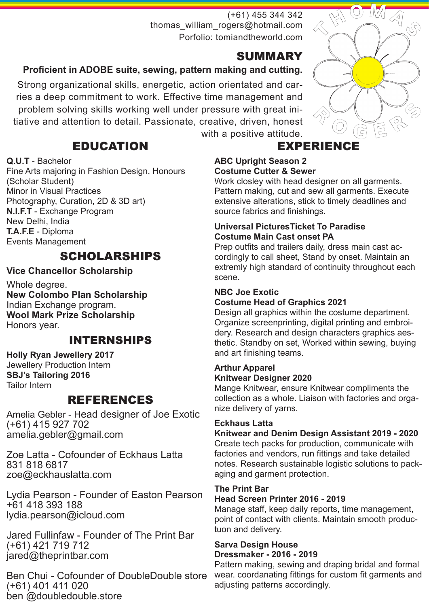## (+61) 455 344 342 thomas\_william\_rogers@hotmail.com Porfolio: tomiandtheworld.com

# SUMMARY

# **Proficient in ADOBE suite, sewing, pattern making and cutting.**

Strong organizational skills, energetic, action orientated and carries a deep commitment to work. Effective time management and problem solving skills working well under pressure with great initiative and attention to detail. Passionate, creative, driven, honest

with a positive attitude.

# EDUCATION

## **Q.U.T** - Bachelor

Fine Arts majoring in Fashion Design, Honours (Scholar Student) Minor in Visual Practices Photography, Curation, 2D & 3D art) **N.I.F.T** - Exchange Program New Delhi, India **T.A.F.E** - Diploma Events Management

# SCHOLARSHIPS

# **Vice Chancellor Scholarship**

Whole degree. **New Colombo Plan Scholarship** Indian Exchange program. **Wool Mark Prize Scholarship** Honors year.

# INTERNSHIPS

#### **Holly Ryan Jewellery 2017** Jewellery Production Intern **SBJ's Tailoring 2016** Tailor Intern

# REFERENCES

Amelia Gebler - Head designer of Joe Exotic (+61) 415 927 702 amelia.gebler@gmail.com

Zoe Latta - Cofounder of Eckhaus Latta 831 818 6817 zoe@eckhauslatta.com

Lydia Pearson - Founder of Easton Pearson +61 418 393 188 lydia.pearson@icloud.com

Jared Fullinfaw - Founder of The Print Bar (+61) 421 719 712 jared@theprintbar.com

Ben Chui - Cofounder of DoubleDouble store (+61) 401 411 020 ben @doubledouble.store

# EXPERIENCE

#### **ABC Upright Season 2 Costume Cutter & Sewer**

Work closley with head designer on all garments. Pattern making, cut and sew all garments. Execute extensive alterations, stick to timely deadlines and source fabrics and finishings.

#### **Universal PicturesTicket To Paradise Costume Main Cast onset PA**

Prep outfits and trailers daily, dress main cast accordingly to call sheet, Stand by onset. Maintain an extremly high standard of continuity throughout each scene.

# **NBC Joe Exotic**

**Costume Head of Graphics 2021**

Design all graphics within the costume department. Organize screenprinting, digital printing and embroidery. Research and design characters graphics aesthetic. Standby on set, Worked within sewing, buying and art finishing teams.

## **Arthur Apparel Knitwear Designer 2020**

Mange Knitwear, ensure Knitwear compliments the collection as a whole. Liaison with factories and organize delivery of yarns.

## **Eckhaus Latta**

# **Knitwear and Denim Design Assistant 2019 - 2020**

Create tech packs for production, communicate with factories and vendors, run fittings and take detailed notes. Research sustainable logistic solutions to packaging and garment protection.

## **The Print Bar**

## **Head Screen Printer 2016 - 2019**

Manage staff, keep daily reports, time management, point of contact with clients. Maintain smooth productuon and delivery.

#### **Sarva Design House Dressmaker - 2016 - 2019**

Pattern making, sewing and draping bridal and formal wear. coordanating fittings for custom fit garments and adjusting patterns accordingly.

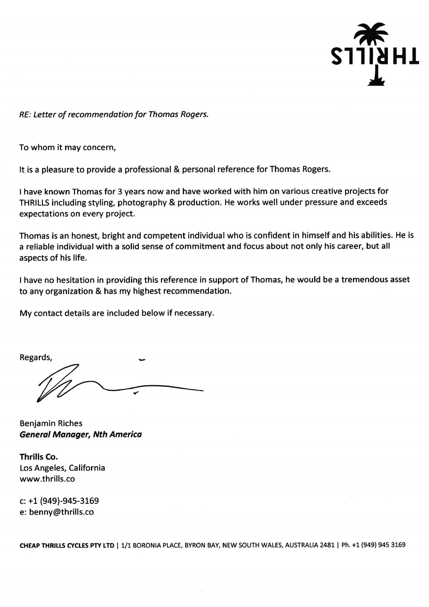

RE: Letter of recommendation for Thomas Rogers.

To whom it may concern,

It is a pleasure to provide a professional & personal reference for Thomas Rogers.

I have known Thomas for 3 years now and have worked with him on various creative projects for THRILLS including styling, photography & production. He works well under pressure and exceeds expectations on every project.

Thomas is an honest, bright and competent individual who is confident in himself and his abilities. He is a reliable individual with a solid sense of commitment and focus about not only his career, but all aspects of his life.

I have no hesitation in providing this reference in support of Thomas, he would be a tremendous asset to any organization & has my highest recommendation.

My contact details are included below if necessary.

Regards,

**Benjamin Riches General Manager, Nth America** 

Thrills Co. Los Angeles, California www.thrills.co

 $c: +1$  (949)-945-3169 e: benny@thrills.co

CHEAP THRILLS CYCLES PTY LTD | 1/1 BORONIA PLACE, BYRON BAY, NEW SOUTH WALES, AUSTRALIA 2481 | Ph. +1 (949) 945 3169